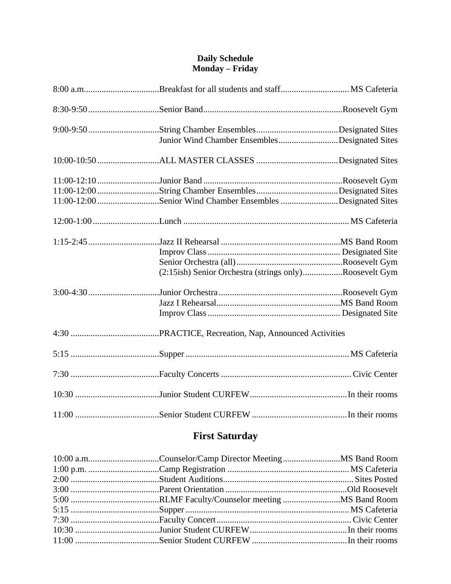#### **Daily Schedule Monday – Friday**

| Junior Wind Chamber EnsemblesDesignated Sites             |  |
|-----------------------------------------------------------|--|
|                                                           |  |
|                                                           |  |
|                                                           |  |
| 11:00-12:00Senior Wind Chamber Ensembles Designated Sites |  |
|                                                           |  |
|                                                           |  |
|                                                           |  |
|                                                           |  |
| (2:15ish) Senior Orchestra (strings only)Roosevelt Gym    |  |
|                                                           |  |
|                                                           |  |
|                                                           |  |
|                                                           |  |
|                                                           |  |
|                                                           |  |
|                                                           |  |
|                                                           |  |

# **First Saturday**